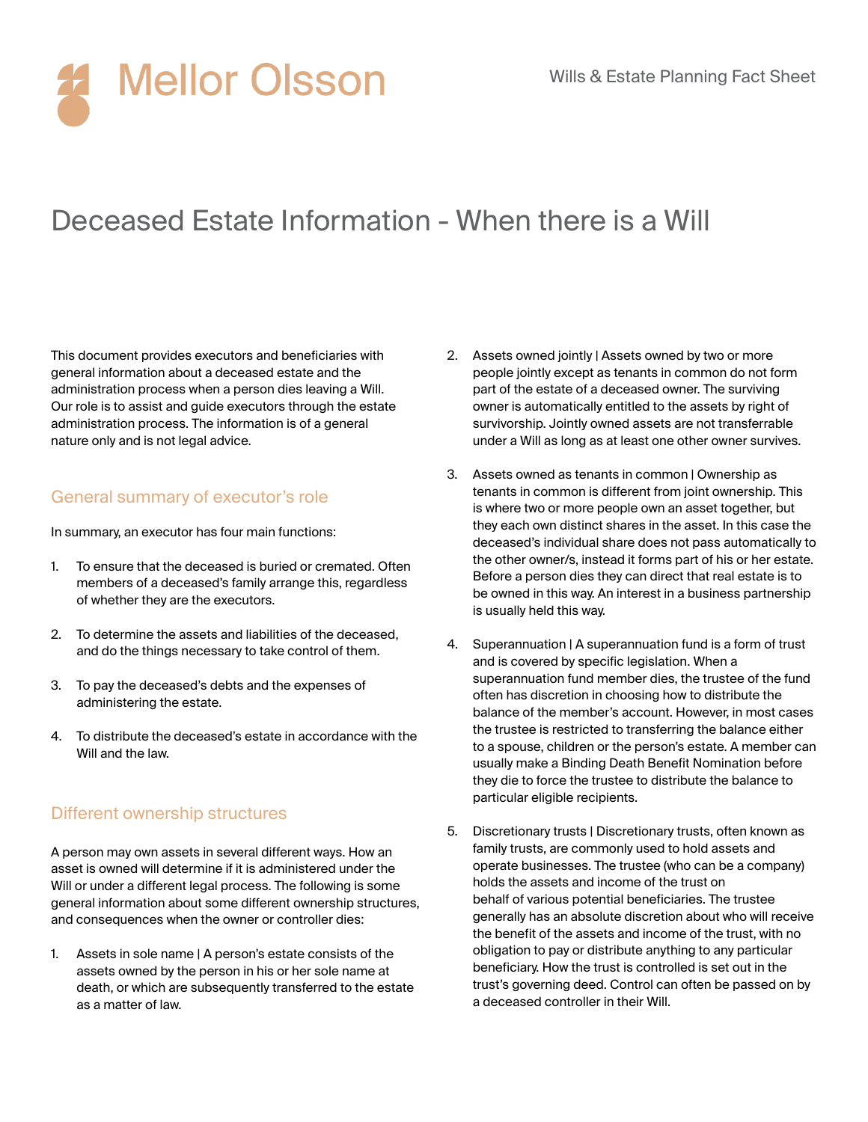# **Mellor Olsson**

### Deceased Estate Information - When there is a Will

This document provides executors and beneficiaries with general information about a deceased estate and the administration process when a person dies leaving a Will. Our role is to assist and guide executors through the estate administration process. The information is of a general nature only and is not legal advice.

#### General summary of executor's role

In summary, an executor has four main functions:

- 1. To ensure that the deceased is buried or cremated. Often members of a deceased's family arrange this, regardless of whether they are the executors.
- 2. To determine the assets and liabilities of the deceased, and do the things necessary to take control of them.
- 3. To pay the deceased's debts and the expenses of administering the estate.
- 4. To distribute the deceased's estate in accordance with the Will and the law.

#### Different ownership structures

A person may own assets in several different ways. How an asset is owned will determine if it is administered under the Will or under a different legal process. The following is some general information about some different ownership structures, and consequences when the owner or controller dies:

1. Assets in sole name | A person's estate consists of the assets owned by the person in his or her sole name at death, or which are subsequently transferred to the estate as a matter of law.

- 2. Assets owned jointly | Assets owned by two or more people jointly except as tenants in common do not form part of the estate of a deceased owner. The surviving owner is automatically entitled to the assets by right of survivorship. Jointly owned assets are not transferrable under a Will as long as at least one other owner survives.
- 3. Assets owned as tenants in common | Ownership as tenants in common is different from joint ownership. This is where two or more people own an asset together, but they each own distinct shares in the asset. In this case the deceased's individual share does not pass automatically to the other owner/s, instead it forms part of his or her estate. Before a person dies they can direct that real estate is to be owned in this way. An interest in a business partnership is usually held this way.
- 4. Superannuation | A superannuation fund is a form of trust and is covered by specific legislation. When a superannuation fund member dies, the trustee of the fund often has discretion in choosing how to distribute the balance of the member's account. However, in most cases the trustee is restricted to transferring the balance either to a spouse, children or the person's estate. A member can usually make a Binding Death Benefit Nomination before they die to force the trustee to distribute the balance to particular eligible recipients.
- 5. Discretionary trusts | Discretionary trusts, often known as family trusts, are commonly used to hold assets and operate businesses. The trustee (who can be a company) holds the assets and income of the trust on behalf of various potential beneficiaries. The trustee generally has an absolute discretion about who will receive the benefit of the assets and income of the trust, with no obligation to pay or distribute anything to any particular beneficiary. How the trust is controlled is set out in the trust's governing deed. Control can often be passed on by a deceased controller in their Will.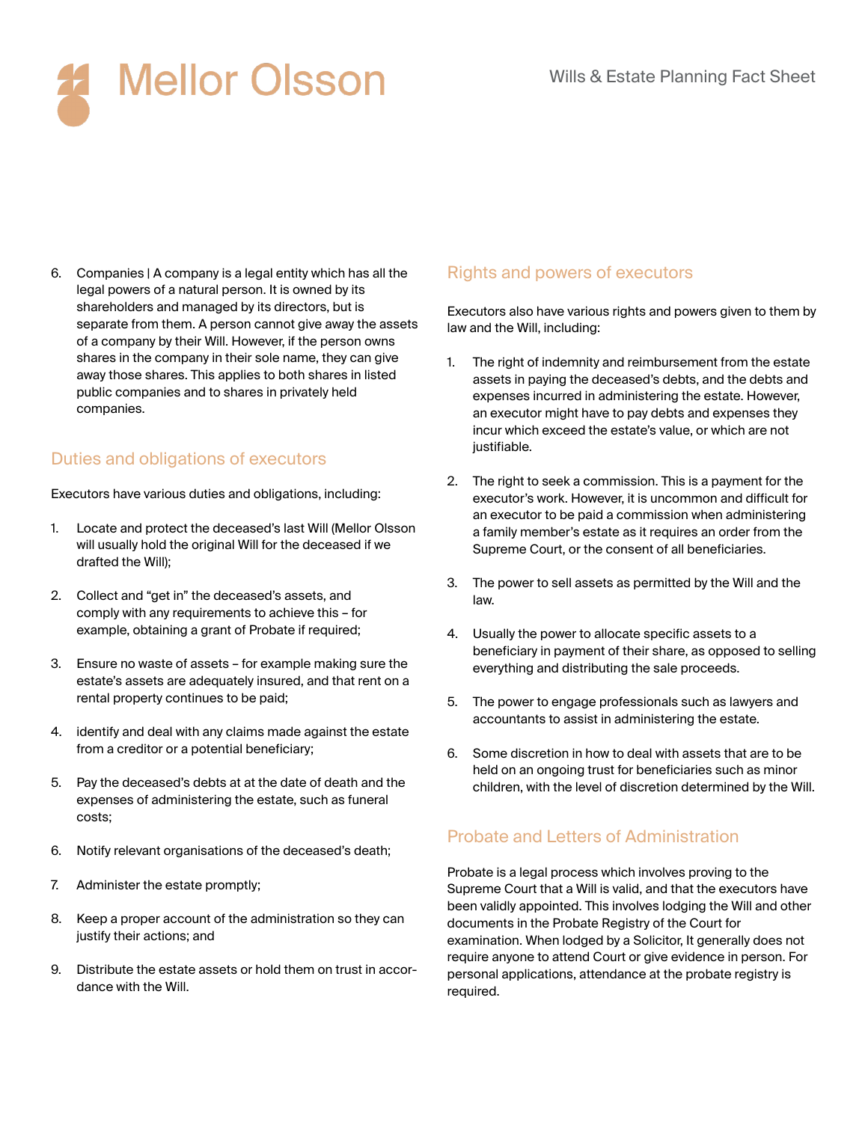

6. Companies | A company is a legal entity which has all the legal powers of a natural person. It is owned by its shareholders and managed by its directors, but is separate from them. A person cannot give away the assets of a company by their Will. However, if the person owns shares in the company in their sole name, they can give away those shares. This applies to both shares in listed public companies and to shares in privately held companies.

#### Duties and obligations of executors

Executors have various duties and obligations, including:

- 1. Locate and protect the deceased's last Will (Mellor Olsson will usually hold the original Will for the deceased if we drafted the Will);
- 2. Collect and "get in" the deceased's assets, and comply with any requirements to achieve this – for example, obtaining a grant of Probate if required;
- 3. Ensure no waste of assets for example making sure the estate's assets are adequately insured, and that rent on a rental property continues to be paid;
- 4. identify and deal with any claims made against the estate from a creditor or a potential beneficiary;
- 5. Pay the deceased's debts at at the date of death and the expenses of administering the estate, such as funeral costs;
- 6. Notify relevant organisations of the deceased's death;
- 7. Administer the estate promptly;
- 8. Keep a proper account of the administration so they can justify their actions; and
- 9. Distribute the estate assets or hold them on trust in accordance with the Will.

#### Rights and powers of executors

Executors also have various rights and powers given to them by law and the Will, including:

- 1. The right of indemnity and reimbursement from the estate assets in paying the deceased's debts, and the debts and expenses incurred in administering the estate. However, an executor might have to pay debts and expenses they incur which exceed the estate's value, or which are not justifiable.
- 2. The right to seek a commission. This is a payment for the executor's work. However, it is uncommon and difficult for an executor to be paid a commission when administering a family member's estate as it requires an order from the Supreme Court, or the consent of all beneficiaries.
- 3. The power to sell assets as permitted by the Will and the law.
- 4. Usually the power to allocate specific assets to a beneficiary in payment of their share, as opposed to selling everything and distributing the sale proceeds.
- 5. The power to engage professionals such as lawyers and accountants to assist in administering the estate.
- 6. Some discretion in how to deal with assets that are to be held on an ongoing trust for beneficiaries such as minor children, with the level of discretion determined by the Will.

#### Probate and Letters of Administration

Probate is a legal process which involves proving to the Supreme Court that a Will is valid, and that the executors have been validly appointed. This involves lodging the Will and other documents in the Probate Registry of the Court for examination. When lodged by a Solicitor, It generally does not require anyone to attend Court or give evidence in person. For personal applications, attendance at the probate registry is required.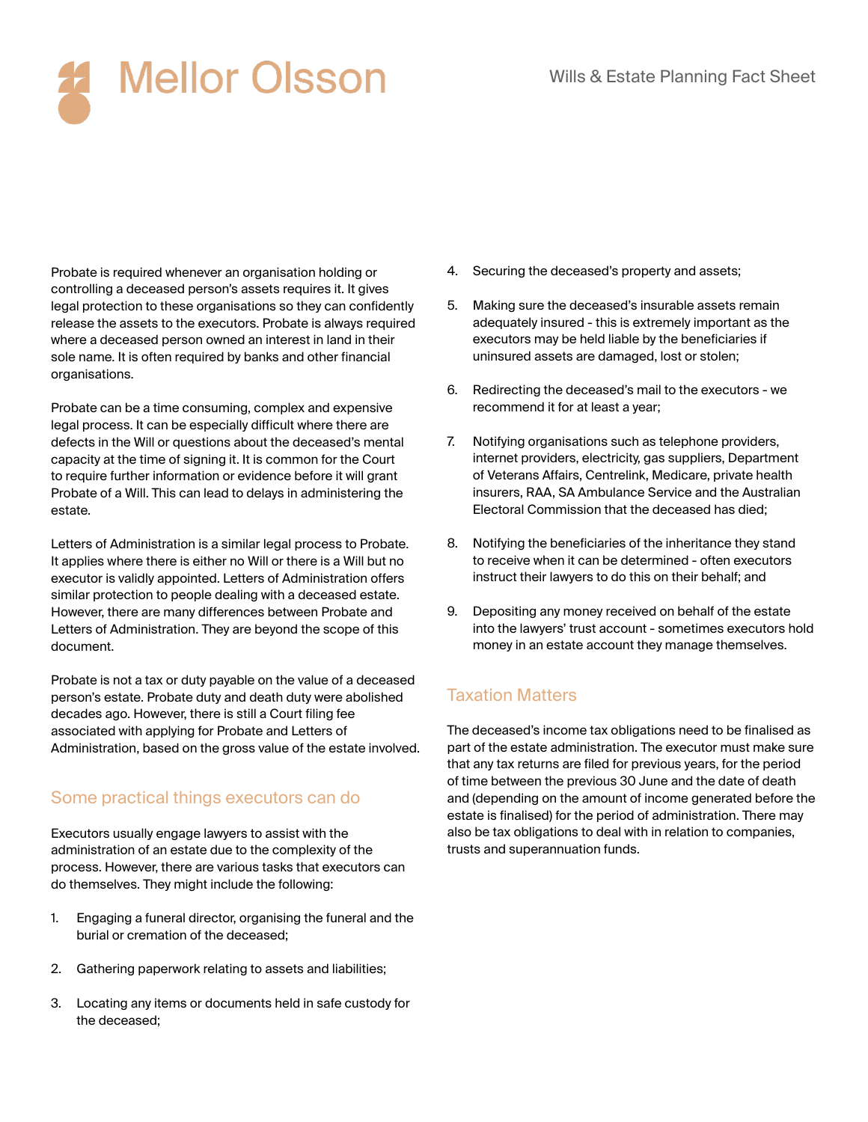## **Mellor Olsson**

Probate is required whenever an organisation holding or controlling a deceased person's assets requires it. It gives legal protection to these organisations so they can confidently release the assets to the executors. Probate is always required where a deceased person owned an interest in land in their sole name. It is often required by banks and other financial organisations.

Probate can be a time consuming, complex and expensive legal process. It can be especially difficult where there are defects in the Will or questions about the deceased's mental capacity at the time of signing it. It is common for the Court to require further information or evidence before it will grant Probate of a Will. This can lead to delays in administering the estate.

Letters of Administration is a similar legal process to Probate. It applies where there is either no Will or there is a Will but no executor is validly appointed. Letters of Administration offers similar protection to people dealing with a deceased estate. However, there are many differences between Probate and Letters of Administration. They are beyond the scope of this document.

Probate is not a tax or duty payable on the value of a deceased person's estate. Probate duty and death duty were abolished decades ago. However, there is still a Court filing fee associated with applying for Probate and Letters of Administration, based on the gross value of the estate involved.

#### Some practical things executors can do

Executors usually engage lawyers to assist with the administration of an estate due to the complexity of the process. However, there are various tasks that executors can do themselves. They might include the following:

- 1. Engaging a funeral director, organising the funeral and the burial or cremation of the deceased;
- 2. Gathering paperwork relating to assets and liabilities;
- 3. Locating any items or documents held in safe custody for the deceased;
- 4. Securing the deceased's property and assets;
- 5. Making sure the deceased's insurable assets remain adequately insured - this is extremely important as the executors may be held liable by the beneficiaries if uninsured assets are damaged, lost or stolen;
- 6. Redirecting the deceased's mail to the executors we recommend it for at least a year;
- 7. Notifying organisations such as telephone providers, internet providers, electricity, gas suppliers, Department of Veterans Affairs, Centrelink, Medicare, private health insurers, RAA, SA Ambulance Service and the Australian Electoral Commission that the deceased has died;
- 8. Notifying the beneficiaries of the inheritance they stand to receive when it can be determined - often executors instruct their lawyers to do this on their behalf; and
- 9. Depositing any money received on behalf of the estate into the lawyers' trust account - sometimes executors hold money in an estate account they manage themselves.

#### Taxation Matters

The deceased's income tax obligations need to be finalised as part of the estate administration. The executor must make sure that any tax returns are filed for previous years, for the period of time between the previous 30 June and the date of death and (depending on the amount of income generated before the estate is finalised) for the period of administration. There may also be tax obligations to deal with in relation to companies, trusts and superannuation funds.